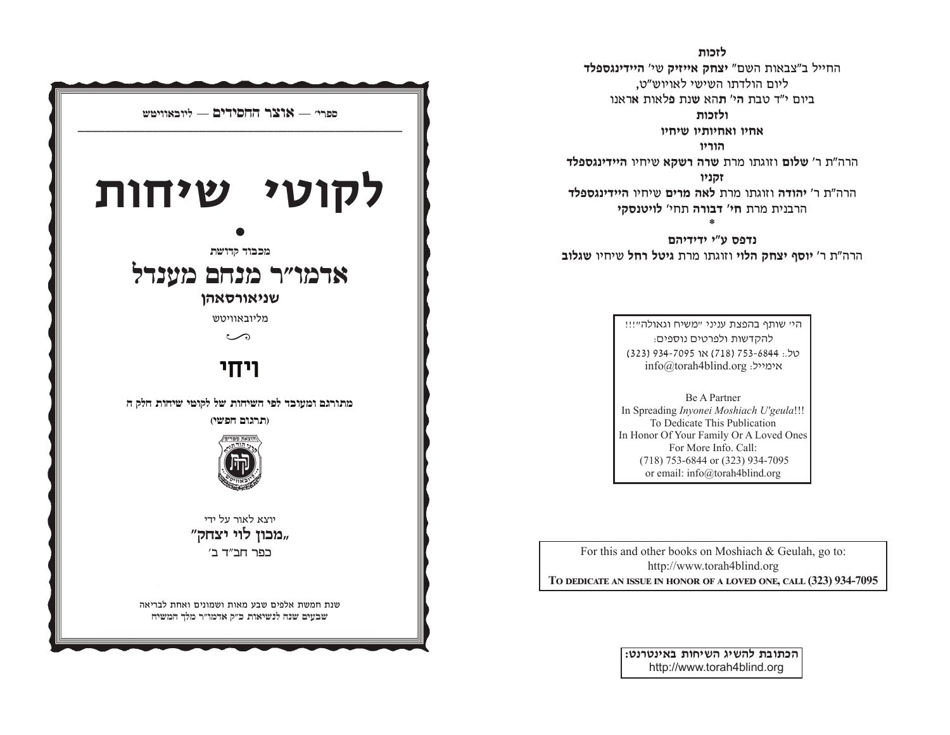לזכות החייל ב"צבאות השם" יצחק אייזיק שי' היידינגספלד ליום הולדתו השישי לאויוש"ט. ביום י"ד טבח הי' תהא שוח פלאוח אראוו

ולזכות

אחיו ואחיותיו שיחיו

הוריו

הרה"ת ר' שלום וזוגתו מרת שרה רשקא שיחיו היידינגספלד זקניו הרה"ח ר' יהודה וזוגחו מרח לאה מרים שיחיו היידינגספלד הרבנית מרת חי' דבורה תחי' לויטנסקי

נדפס ע"י ידידיהם הרה"ת ר' יוסף יצחק הלוי וזוגתו מרת גיטל רחל שיחיו שגלוב

> היי שותף בהפצת עניני "משיח וגאולה"!!! להקדשות ולפרטים נוספים: 05 ו323 ו-753 (718) או 7095-6844. info@torah4blind.org אימייל:

**Be A Partner** In Spreading Invonei Moshiach U'geula!!! To Dedicate This Publication In Honor Of Your Family Or A Loved Ones For More Info. Call: (718) 753-6844 or (323) 934-7095 or email: info@torah4blind.org

For this and other books on Moshiach & Geulah, go to: http://www.torah4blind.org TO DEDICATE AN ISSUE IN HONOR OF A LOVED ONE, CALL (323) 934-7095

> הכתובת להשיג השיחות באינטרנט: http://www.torah4blind.org

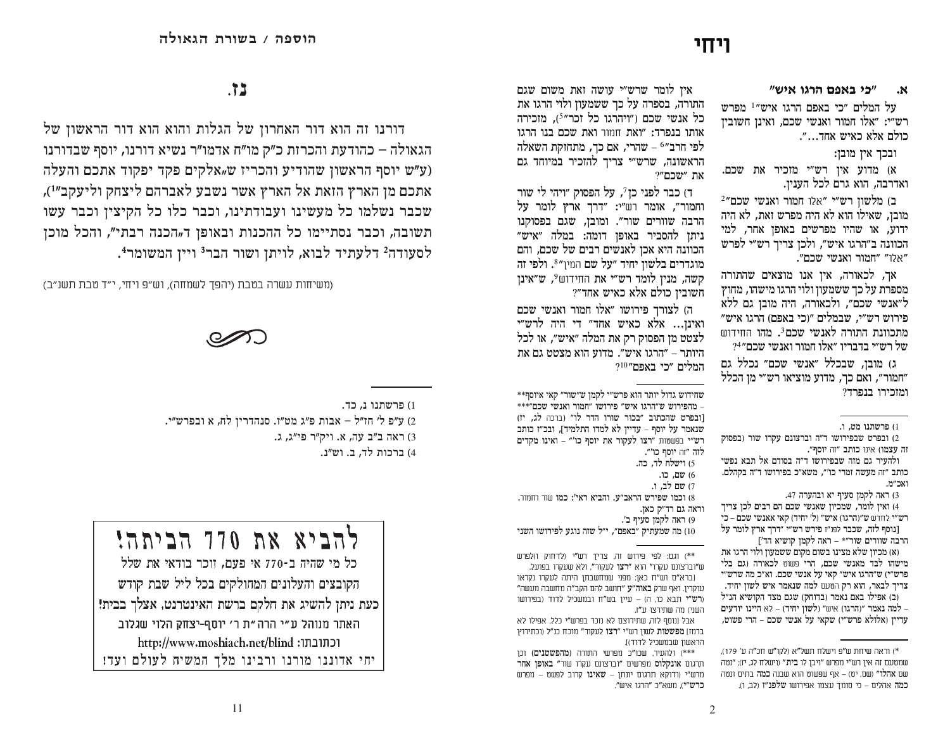# ויחי

#### "כי באפם הרגו איש" ٦χ.

על המלים "כי באפם הרגו איש"<sup>1</sup> מפרש רש״י: ״אלו חמור ואנשי שכם. ואינו חשוביו כולם אלא כאיש אחד...״.

ובכך אין מובן:

א) מדוע אין רש״י מזכיר את שכם. ואדרבה, הוא גרם לכל הענין.

2"ב) מלשוז רש"י "אלו חמור ואנשי שכם מובן, שאילו הוא לא היה מפרש זאת, לא היה ידוע, או שהיו מפרשים באופן אחר, למי הכוונה ב״הרגו איש״, ולכן צריך רש״י לפרש "אלו" "חמור ואנשי שכם".

אר, לכאורה, איז אנו מוצאים שהתורה מספרת על כך ששמעון ולוי הרגו מישהו, מחוץ ל״אנשי שכם״, ולכאורה, היה מובז גם ללא פירוש רש״י, שבמלים ״(כי באפם) הרגו איש״ מתכוונת התורה לאנשי שכם?. מהו החידוש של רש״י בדבריו ״אלו חמור ואנשי שכם״4?

ג) מובז. שבכלל ״אנשי שכם״ נכלל גם "חמור", ואם כך, מדוע מוציאו רש"י מן הכלל ומזכירו בנפרד?

3) ראה לקמן סעיף יא ובהערה 47.

4) ואין לומר, שמכיון שאנשי שכם הם רבים לכן צריך רש״י לחדש ש״(הרגו) איש״ (ל' יחיד) קאי אאנשי שכם – כי [נוסף לזה, שכבר לפנ״ז פירש רש״י ״דרך ארץ לומר על

הרבה שוורים שור"\* - ראה לקמן קושיא הד'] (א) מכיון שלא מצינו בשום מקום ששמעון ולוי הרגו את מישהו לבד מאנשי שכם, הרי פשוט לכאורה (גם בלי פרש״י) ש״הרגו איש״ קאי על אנשי שכם. וא״כ מה שרש״י צריך לבאר, הוא רק הטעם למה שנאמר איש לשון יחיד. וב) אפילו באם נאמר ובדוחק) שגם מצד הקושיא הנ״ל – למה נאמר "והרגו) איש" ולשוז יחיד) – לא היינו יודעים עדיין (אלולא פרש״י) שקאי על אנשי שכם – הרי פשוט,

איו לומר שרש״י עושה זאת משום שגם התורה, בספרה על כך ששמעון ולוי הרגו את כל אנשי שכם ("ויהרגו כל זכר"<sup>5</sup>), מזכירה אותו בנפרד: "ואת חוור ואת שכם בנו הרגו לפי חרב״6 – שהרי, אם כך, מתחזקת השאלה הראשונה, שרש״י צריך להזכיר במיוחד גם  $?$ "שכם"

ד) כבר לפני כז7. על הפסוק ״ויהי לי שור וחמור", אומר רש"י: "דרך ארץ לומר על הרבה שוורים שור". ומובן, שגם בפסוקנו ניתן להסביר באופן דומה: במלה ״איש״ הכוונה היא אכז לאנשים רבים של שכם. והם מוגדרים בלשון יחיד ״על שם המין״8. ולפי זה קשה, מנין לומד רש״י את החידוש<sup>9</sup>, ש״אינן חשוביו כולם אלא כאיש אחד״?

ה) לצורך פירושו ״אלו חמור ואנשי שכם ואינו... אלא כאיש אחד" די היה לרש"י לצטט מן הפסוק רק את המלה "איש", או לכל היותר – "הרגו איש". מדוע הוא מצטט גם את המלים ״כי באפם״10

שחידוש גדול יותר הוא פרש"י לקמן ש"שור" קאי איוסף\*\* - מהפירוש ש״הרגו איש״ פירושו ״חמור ואנשי שכם״\*\*\* **וובפרט שהכתוב "בכור שורו הדר לו"** (ברכה לג, יז) שנאמר על יוסף - עדיין לא למדו התלמיד], ובכ"ז כותב רש"י בפשטות "רצו לעקור את יוסף כו" - ואינו מקדים לזה ״זה יוסף כו׳״. .5) וישלח לד. כה. 6) שם, כו. 7) שם לב, ו. 8) וכמו שפירש הראב״ע. והביא ראי׳: כמו שור וחמור. וראה גם רד״ק כאז. 9) ראה לקמן סעיף ב׳. 10) מה שמעתיק ״באפם״, י״ל שזה נוגע לפירושו השני

\*\*) וגם: לפי פירוש זה. צריד רש"י (לדחוק ו)לפרש ש״וברצונם עקרו״ הוא ״**רצו** לעקור״. ולא שעקרו בפועל.

[ברא"ם וש"ח כאן: מפני שמחשבתן היתה לעקרו נקראו עוקריו. ואף שרק **באוה"ע** "חושב להם הקב"ה מחשבה מעשה" (רש"י תבא כו. ה) – עייו בש"ח ובמשכיל לדוד (בפירושו השני) מה שתירצו ע״ז.

אבל ונוסף לזה. שתירוצם לא נזכר בפרש"י כלל. אפילו לא ברמז] מפשטות לשון רש"י "רצו לעקור" מוכח כנ"ל (וכתירוץ הראשוו שבמשכיל לדוד)!

\*\*\*) ולהעיר. שכו"כ מפרשי התורה (מהפשטנים) וכו תרגום **אונקלוס** מפרשים ״וברצונם עקרו שור״ **באופו אחר** מרש"י (ודוקא תרגום יונתן – שאינו קרוב לפשט – מפרש כרש"י), משא״כ "הרגו איש".

# $.72$

דורנו זה הוא דור האחרון של הגלות והוא הוא דור הראשון של הגאולה – כהודעת והכרזת כ״ק מו״ח אדמו״ר נשיא דורנו, יוסף שבדורנו (ע"ש יוסף הראשון שהודיע והכריז ש"אלקים פקד יפקוד אתכם והעלה אתכם מן הארץ הזאת אל הארץ אשר נשבע לאברהם ליצחק וליעקב״<sup>1</sup>), שכבר נשלמו כל מעשינו ועבודתינו, וכבר כלו כל הקיצין וכבר עשו תשובה, וכבר נסתיימו כל ההכנות ובאופן ד"הכנה רבתי״, והכל מוכן לסעודה<sup>2</sup> דלעתיד לבוא, לויתן ושור הבר<sup>3</sup> ויין המשומר<del>!</del>.

(משיחות עשרה בטבת (יהפך לשמחה), וש״פ ויחי, י״ד טבת תשנ״ב)



1) פרשתנו נ. כד. 2) ע״פ ל׳ חז״ל – אבות פ״ג מט״ז. סנהדריז לח, א ובפרש״י. 3) ראה ב"ב עה, א. ויק"ר פי"ג, ג. 4) ברכות לד, ב. וש״נ.



הקובצים והעלונים המחולקים בכל ליל שבת קודש כעת ניתן להשיג את חלקם ברשת האינטרנט, אצלך בבית! | האתר מנוהל ע"י הרה"ת ר' יוסף-יצחק הלוי שגלוב http://www.moshiach.net/blind :וכתובתו

יחי אדוננו מורנו ורבינו מלך המשיח לעולם ועד!

<sup>1)</sup> פרשתנו מט, ו.

<sup>2)</sup> ובפרט שבפירושו ד"ה וברצונם עקרו שור (בפסוק זה עצמו) אינו כותב "זה יוסף".

ולהעיר גם מזה שבפירושו ד״ה בסודם אל תבא נפשי כותב ״זה מעשה זמרי כו׳״, משא״כ בפירושו ד״ה בקהלם. ראר״ול

<sup>\*)</sup> וראה שיחת ש"פ וישלח תשל"א (לקו"ש חכ"ה ע' 179). שממנגם זה איו רש״י מפרש ״ויבו לו **בית**״ (וישלח לג. יז): ״נמה שם אהלו" (שם. יט) – אף שפשוט הוא שבנה **כמה** בתים ונטה **כמה** אהלים – כי סומך עצמו אפירושו **שלפנ**״ז (לב, ו).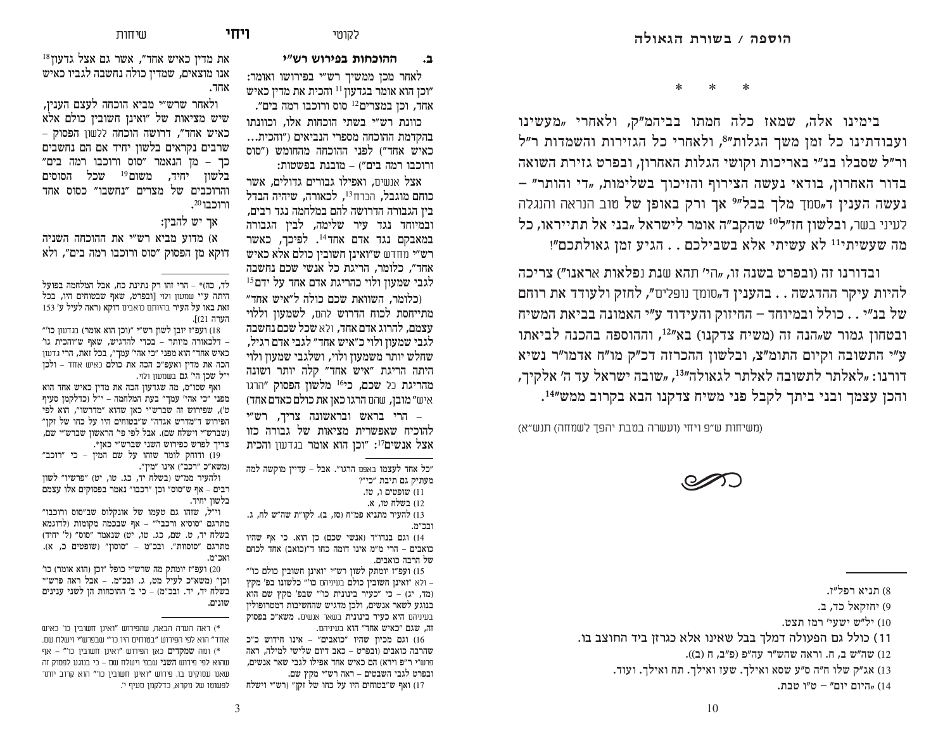**<sup>L</sup>\[ \H[LWD ]HJNHGG D**

**ל**קומי **LIT** 

לאחר מכן ממשיך רש״י בפירושו ואומר: וכן הוא אומר בגדעון <sup>11</sup> והכית את מדין כאיש" אחד, וכן במצרים<sup>12</sup> סוס ורוכבו רמה בים".

כוונת רש״י בשתי הוכחות אלו, וכוונתו בהקדמת ההוכחה מספרי הנביאים ("והכית... כאיש אחד") לפני ההוכחה מהחומש ("סוס ורוכבו רמה בים") – מובנת בפשטות:

אצל אנשים, ואפילו גבורים גדולים, אשר כוחם מוגבל, הכרח<sup>13</sup>, לכאורה, שיהיה הבדל בין הגבורה הדרושה להם במלחמה נגד רבים, ובמיוחד נגד עיר שלימה, לבין הגבורה במאבקם נגד אדם אחד<sup>14</sup>. לפיכך, כאשר רש״י מחדש ש״ואינן חשובין כולם אלא כאיש אחד״, כלומר, הריגת כל אנשי שכם נחשבה  $^{15}$ לגבי שמעוז ולוי כהריגת אדם אחד על ידם  $^{\rm 15}$ 

וכלומר, השוואת שכם כולה ל״איש אחד״ מתייחסת לכוח הדרוש להם, לשמעוז וללוי עצמם, להרוג אדם אחד, ולא שכל שכם נחשבה לגבי שמעוז ולוי כ״איש אחד״ לגבי אדם רגיל. שחלש יותר משמעוז ולוי, ושלגבי שמעוז ולוי היתה הריגת ״איש אחד״ קלה יותר ושונה מהריגת כל שכם, כי<sup>16</sup> מלשון הפסוק ״הרגו איש״ מובן, שהם הרגו כאן את כולם כאדם אחד)

הרי בראש ובראשונה צריד. רש"י  $-$ להוכיח שאפשרית מציאות של גבורה כזו אצל אנשים<sup>17</sup>: "וכן הוא אומר בגדעון והכית

כל אחד לעצמו באפם הרגו״. אבל – עדייז מוקשה למה" מעתיק גם תיבת ״כי״?

וופטים ו. טו.  $(11)$ 12) בשלח טו, א.

13) להעיר מתניא פמ״ח (סז, ב). לקו״ת שה״ש לח, ג. ורר״מ

וגם בנדו״ד (אנשי שכם) כן הוא. כי אף שהיו כואבים – הרי מ״מ אינו דומה כחו ד״וכואב) אחד לכחם של הרבה כואבים.

"ח ועפ״ז יומתק לשון רש״י ״ואינן חשובין כולם כו I – ולא ״ואינן חשובין כולם בעיניהם כו׳״ כלשונו בפ׳ מקץ (מד, יג) – כי ״כעיר בינונית כו'״ שבפ' מקץ שם הוא בנוגע לשאר אנשים, ולכן מדגיש שהחשיבות דמטרופולין בעיניהם היא כעיר בינונית בשאר אנשים. משא״כ בפסוק

זה, שגם ״כאיש אחד״ הוא בעיניהם. וגם מכיוז שהיו "כואבים" – אינו חידוש כ"כ (16 שהרבה כואבים וובפרט – כאב דיום שלישי למילה. ראה פרווז"י ר"פ וירא) הם כאיש אחד אפילו לגבי שאר אנשים. ובפרט לגבי השבטים – ראה רש״י מקץ שם. 17) ואף ש״בטוחים היו על כחו של זקן״ (רש״י וישלח

את מדין כאיש אחד", אשר גם אצל גדעון 18 אנו מוצאים, שמדין כולה נחשבה לגביו כאיש אחד.

 $\text{H}$ 

ולאחר שרש״י מביא הוכחה לעצם העניו, שיש מציאות של "ואינן חשובין כולם אלא כאיש אחד״, דרושה הוכחה ללשון הפסוק – שרבים נקראים בלשון יחיד אם הם נחשבים  $P$ כר – מז הנאמר "סוס ורוכבו רמה בים בלשון יחיד, משום<sup>19</sup> שכל הסוסים והרוכבים של מצרים ״נחשבו״ כסוס אחד  $\boldsymbol{\cdot}^{20}$ ורוכבו

אר יש להביז:

ה' ההוכחה משניה (א) מדוע מביא רש"י את דוקא מן הפסוק ״סוס ורוכבו רמה בים״, ולא

לד, כה)\* – הרי זהו רק נתינת כח, אבל המלחמה בפועל היתה ע״י שמעון ולוי [ובפרט, שאף שבטוחים היו. בכל זאת באו על העיר בהיותם כואבים דוקא (ראה לעיל ע׳ 153 הערה I(21

ועפ״ז יובן לשון רש״י ״ווכן הוא אומר) בגדעון כו'״ (18 – דלכאורה מיותר – בכדי להדגיש, שאף ש״והכית גו׳ כאיש אחד״ הוא מפני ״כי אהי׳ עמך״, בכל זאת, הרי גדעון הכה את מדין ואעפ״כ הכה את כולם כאיש אחד – ולכן י״ל שכן הי׳ גם בשמעון ולוי**.** 

ואף שסו"ס, מה שגדעון הכה את מדין כאיש אחד הוא מפני ״כי אהי׳ עמך״ בעת המלחמה – י״ל (כדלקמן סעיף ט׳), שפירוש זה שברש״י כאן שהוא ״מדרשו״, הוא לפי ה.<br>הפירוש ד״מדרש אגדה״ ש״בטוחים היו על כחו של זקן ושברש״י וישלח שם). אבל לפי פי' הראשון שברש״י שם, צריך לפרש כפירוש השני שברש״י כאן\*.

19) ודוחק לומר שזהו על שם המין – כי ״רוכב״ (משא"כ "רכב") אינו "מיז".

ולהעיר ממ"ש (בשלח יד, כג. טו, יט) "פרשיו" לשון רבים – אף ש״סוס״ וכן ״רכבו״ נאמר בפסוקים אלו עצמם בלשוז יחיד.

וי״ל, שזהו גם טעמו של אונקלוס שב״סוס ורוכבו״ מתרגם ״סוסיא ורכבי׳״ – אף שבכמה מקומות (לדוגמא בשלח יד, ט. שם, כג. טו, יט) שנאמר ״סוס״ (ל׳ יחיד) מתרגם "סוסוות". ובכ"מ – "סוסון" (שופטים כ, א). ואכ״מ.

'ועפ״ז יומתק מה שרש״י כופל ״וכן (הוא אומר) כו וכז״ ומשא״כ לעיל מט. ג. ובכ״מ. – אבל ראה פרש״י בשלח יד, יד. ובכ״מ) – כי ב׳ ההוכחות הן לשני ענינים שונים.

א) ראה הערה הבאה, שהפירוש ״ואינן חשובין כו׳ כאיש \* אחד" הוא לפי הפירוש "בטוחים היו כו'" שבפרש"י וישלח שם. א) ומה **שמקדים** כאן הפירוש ״ואינן חשובין כו״ – אף שהוא לפי פירוש **השני** שבפ' וישלח שם – כי בנוגע לפסוק זה שאנו עסוקים בו, פירוש "ואינן חשובין כו'" הוא קרוב יותר לפשוטו של מקרא, כדלקמן סעיף י'. \*    \*    \*

בימינו אלה, שמאז כלה חמתו בביהמ"ק, ולאחרי "מעשינו ועבודתינו כל זמן משך הגלות"<sup>8</sup>, ולאחרי כל הגזירות והשמדות ר"ל ור״ל שסבלו בנ״י באריכות וקושי הגלות האחרון, ובפרט גזירת השואה  $\epsilon$ בדור האחרון, בודאי נעשה הצירוף והזיכוך בשלימות, "די והותר" **נעשה הענין ד<sub>יי</sub>סמך מלך בבל״? אך ורק באופן של** טוב הנראה והנגלה לעיני בשר, ובלשון חז״ל<sup>10</sup> שהקב״ה אומר לישראל "בני אל תתייראו, כל מה שעשיתי<sup>11</sup> לא עשיתי אלא בשבילכם . . הגיע זמז גאולתכם"!

ובדורנו זה (ובפרט בשנה זו, <sub>"</sub>הי' תהא שנת נפלאות אראנו") <mark>צר</mark>יכה להיות עיקר ההדגשה . . בהענין ד<sub>יי</sub>סומך נופלים״, לחזק ולעודד את רוחם של בנ״י . . כולל ובמיוחד – החיזוק והעידוד ע״י האמונה בביאת המשיח ובטחון גמור ש<sub>"</sub>הנה זה (משיח צדקנו) בא"<sup>12</sup>, וההוספה בהכנה לביאתו ע״י התשובה וקיום התומ״צ, ובלשון ההכרזה דכ״ק מו״ח אדמו״ר נשיא דורנו: "לאלתר לתשובה לאלתר לגאולה"<sup>13</sup>, "שובה ישראל עד ה' אלקיך, והכן עצמך ובני ביתך לקבל פני משיח צדקנו הבא בקרוב ממש"<sup>14</sup>.

(משיחות ש״פ ויחי (ועשרה בטבת יהפד לשמחה) תנש״א)



8) תניא רפל״ז.

9) יחזקאל כד. ב.

ל״ש ישעי׳ רמו תצט.  $(10\,$ 

11) כולל גם הפעולה דמלך בבל שאינו אלא כגרזן ביד החוצב בו.

(12) ( עה"ש ב. ח. וראה שהש"ר עה"פ (פ"ב, ח $(12)$ 

13) אג״ק שלו ח״ה ס״ע שסא ואילך. שעז ואילך. תח ואילך. ועוד.

היום יום" – ט"ו טבת,  $(14$ 

10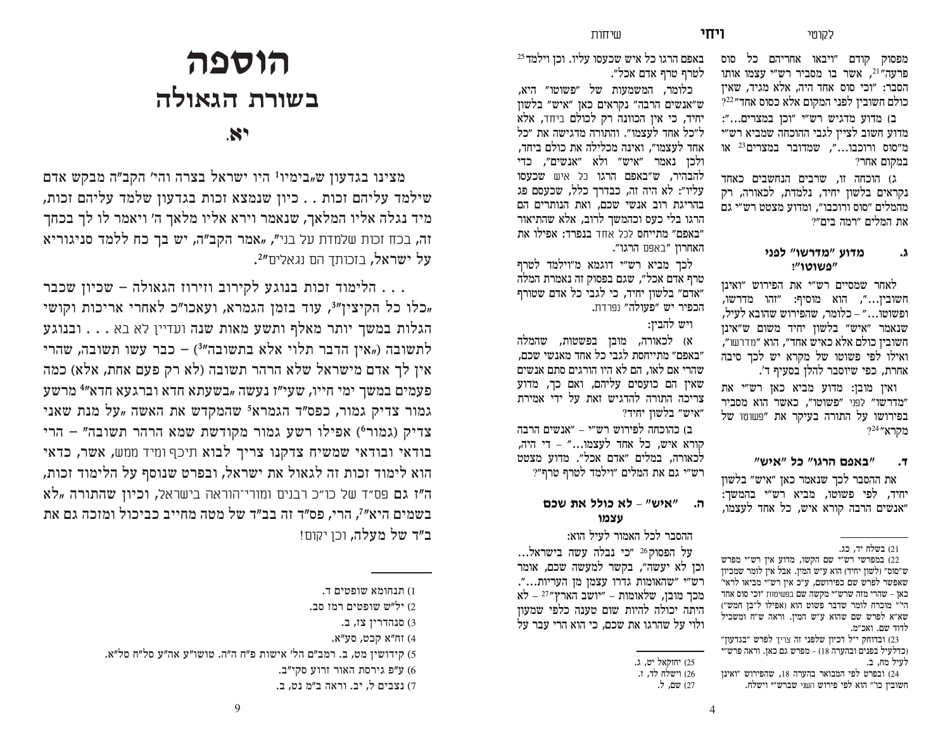ויחי

מפסוק קודם ״ויבאו אחריהם כל סוס פרעה"<sup>21</sup>, אשר בו מסביר רש"י עצמו אותו הסבר: "וכי סוס אחד היה, אלא מגיד, שאין כולם חשובין לפני המקום אלא כסוס אחד״22?

ב) מדוע מדגיש רש״י ״וכן במצרים...״: מדוע חשוב לציין לגבי ההוכחה שמביא רש״י מ"סוס ורוכבו...". שמדובר במצרים <sup>23</sup> או במקום אחר?

ג) הוכחה זו, שרבים הנחשבים כאחד נקראים בלשוז יחיד, נלמדת, לכאורה, רק מהמלים ״סוס ורוכבו״, ומדוע מצטט רש״י גם את המלים ״רמה בים״?

#### מדוע "מדרשו" לפני  $\Lambda$ "פשוטו"

לאחר שמסיים רש״י את הפירוש ״ואינן חשובין...", הוא מוסיף: "זהו מדרשו, ופשוטו…" – כלומר. שהפירוש שהובא לעיל. שנאמר ״איש״ בלשוז יחיד משום ש״אינז חשוביו כולם אלא כאיש אחד״, הוא ״מדרשו״, ואילו לפי פשוטו של מקרא יש לכד סיבה אחרת, כפי שיוסבר להלן בסעיף ד'.

ואיו מובז: מדוע מביא כאו רש״י את "מדרשו" לפני "פשוטו". כאשר הוא מסביר בפירושו על התורה בעיקר את ״פשוטו של  $2^{24}$ "מקרא

#### "באפם הרגו" כל "איש" ۳.

את ההסבר לכך שנאמר כאן ״איש״ בלשון יחיד, לפי פשוטו, מביא רש״י בהמשך: ״אנשים הרבה קורא איש, כל אחד לעצמו,

באפם הרגו כל איש שכעסו עליו. וכז וילמד<sup>25</sup> לטרף טרף אדם אכל״.

כלומר, המשמעות של ״פשוטו״ היא, ש״אנשים הרבה״ נקראים כאן ״איש״ בלשון יחיד, כי אין הכוונה רק לכולם ביחד, אלא ל״כל אחד לעצמו״. והתורה מדגישה את ״כל אחד לעצמו״. ואינה מכלילה את כולם ביחד. ולכו נאמר ״איש״ ולא ״אנשים״. כדי להבהיר, ש״באפם הרגו כל איש שכעסו עליו״: לא היה זה, כבדרר כלל, שכעסם פג בהריגת רוב אנשי שכם, ואת הנותרים הם הרגו בלי כעס וכהמשר לרוב, אלא שהתיאור "באפם" מתייחס לכל אחד בנפרד: אפילו את האחרוז "באפם הרגו".

לכך מביא רש״י דוגמא מ״וילמד לטרף טרף אדם אכל״. שגם בפסוק זה נאמרת המלה "אדם" בלשון יחיד, כי לגבי כל אדם שטורף הכפיר יש ״פעולה״ נפרדת.

# ויש להביז:

א) לכאורה, מובן בפשטות, שהמלה ״באפם״ מתייחסת לגבי כל אחד מאנשי שכם, שהרי אם לאו. הם לא היו הורגים סתם אנשים שאיז הם כועסים עליהם. ואם כר. מדוע צריכה התורה להדגיש זאת על ידי אמירת ״איש״ בלשוו יחיד?

ב) כהוכחה לפירוש רש״י – ״אנשים הרבה קורא איש, כל אחד לעצמו..." – די היה, לכאורה, במלים ״אדם אכל״. מדוע מצטט ־ש״י גם את המלים ״וילמד לטרף טרף״?

#### "איש" - לא כולל את שכם ה. עצמו

ההסבר לכל האמור לעיל הוא:

על הפסוק<sup>26</sup> ״כי נבלה עשה בישראל... וכן לא יעשה", בקשר למעשה שכם, אומר רש"י "שהאומות גדרו עצמן מן העריות...". מכך מובן, שלאומות – "יושב הארץ" <sup>27</sup> – לא היתה יכולה להיות שום טענה כלפי שמעוז ולוי על שהרגו את שכם. כי הוא הרי עבר על

# הוספה בשורת הגאולה

 $\mathbf{x}$ 

מצינו בגדעון ש<sub>יי</sub>בימיו<sup>1</sup> היו ישראל בצרה והי' הקב"ה מבקש אדם שילמד עליהם זכות . . כיון שנמצא זכות בגדעון שלמד עליהם זכות, מיד נגלה אליו המלאך, שנאמר וירא אליו מלאך ה׳ ויאמר לו לך בכחך זה, בכח זכות שלמדת על בני", "אמר הקב"ה, יש בך כח ללמד סניגוריא על ישראל, בזכותד הם נגאלים"4.

. . . הלימוד זכות בנוגע לקירוב וזירוז הגאולה – שכיון שכבר "כלו כל הקיצין"<sup>3</sup>, עוד בזמן הגמרא, ועאכו"כ לאחרי אריכות וקושי הגלות במשך יותר מאלף ותשע מאות שנה ועדיין לא בא . . . . ובנוגע לתשובה ("אין הדבר תלוי אלא בתשובה"3) – כבר עשו תשובה, שהרי אין לך אדם מישראל שלא הרהר תשובה (לא רק פעם אחת, אלא) כמה פעמים במשך ימי חייו, שעי"ו נעשה "בשעתא חדא וברגעא חדא"<sup>4</sup> מרשע גמור צדיק גמור, כפס״ד הגמרא<sup>5</sup> שהמקדש את האשה "על מנת שאני צדיק (גמור°) אפילו רשע גמור מקודשת שמא הרהר תשובה" – הרי בודאי ובודאי שמשיח צדקנו צריך לבוא תיכף ומיד ממש, אשר, כדאי הוא לימוד זכות זה לגאול את ישראל, ובפרט שנוסף על הלימוד זכות, ה"ז גם פס"ד של כו"כ רבנים ומורי־הוראה בישראל, **וכיון שהתורה "לא** בשמים היא״<sup>7</sup>. הרי, פס״ד זה בב״ד של מטה מחייב כביכול ומזכה גם את **ב״ד של מעלה,** וכו יקום!

<sup>21)</sup> בשלח יד, כג.

<sup>22)</sup> במפרשי רש״י שם הקשו, מדוע איז רש״י מפרש ש"סוס" (לשון יחיד) הוא ע"ש המין. אבל אין לומר שמכיון שאפשר לפרש שם כפירושם, ע״כ אין רש״י מביאו לראי׳ כאן – שהרי מזה שרש״י מקשה שם בפשיטות ״וכי סוס אחד הי'" מוכרח לומר שדבר פשוט הוא (אפילו ל"בו חמש") שא"א לפרש שם שהוא ע"ש המין. וראה ש"ח ומשכיל לדוד שם. ואכ״מ.

<sup>23)</sup> ובדוחק י״ל דכיוז שלפני זה צריד לפרש ״בגדעוז״ וכדלעיל בפנים ובהערה 18) – מפרש גם כאז. וראה פרש״י לעיל מח. ב.

<sup>24)</sup> ובפרט לפי המבואר בהערה 18, שהפירוש ״ואינו חשובין כו'״ הוא לפי פירוש השני שברש״י וישלח.

<sup>25)</sup> יחוקאל יט. ג.

<sup>26)</sup> וישלח לד**,** ז. 27) שם, ל.

<sup>1)</sup> תנחומא שופטים ד.

<sup>.7)</sup> יל"ש שופטים רמז סב

<sup>3)</sup> סנהדרין צז, ב.

<sup>4)</sup> זח"א קכט, סע"א.

<sup>5)</sup> קידושין מט, ב. רמב״ם הל׳ אישות פ״ח ה״ה. טושו״ע אה״ע סל״ח סל״א.

<sup>6)</sup> ע״פ גירסת האור זרוע סקי״ב.

<sup>7)</sup> נצבים ל. יב. וראה ב״מ נט. ב.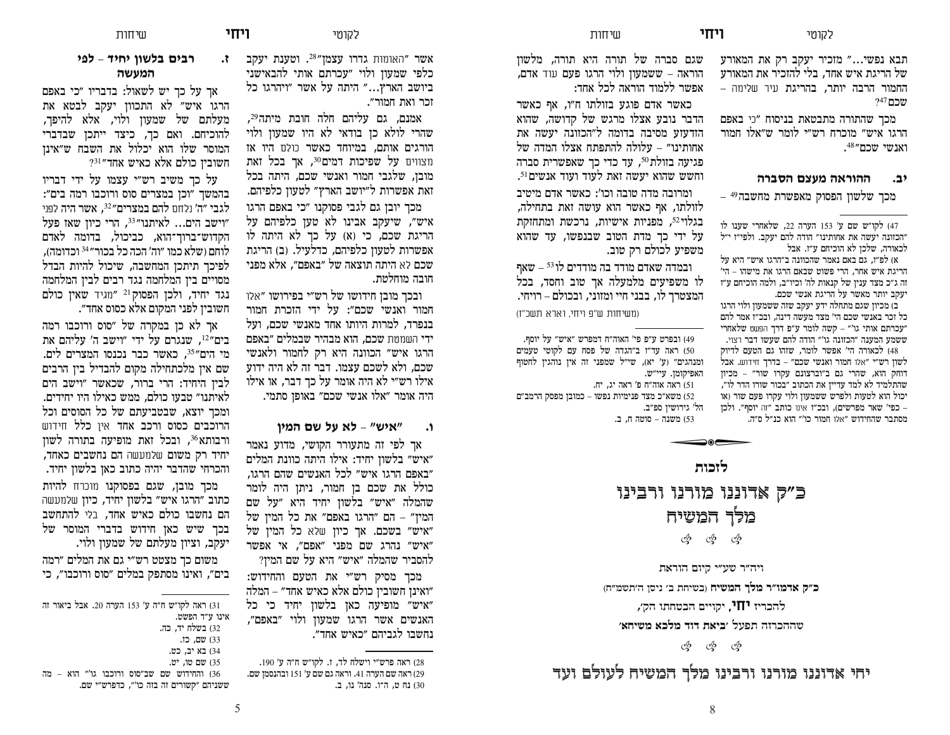תבא נפשי..." מזכיר יעקב רק את המאורע של הריגת איש אחד, בלי להזכיר את המאורע החמור הרבה יותר, בהריגת עיר שלימה –  $247$ שכם

מכך שהתורה מתבטאת בניסוח ״כי באפם הרגו איש״ מוכרח רש״י לומר ש״אלו חמור 'אנשי שכם"<sup>48</sup>.

#### **(ב.** ההוראה מעצם הסברה

 $-$  49 מכך שלשון הפסוק מאפשרת מחשבה

א) לפ״ז, גם באם נאמר שהכוונה ב״הרגו איש״ היא על הריגת איש אחר, הרי פשוט שבאם הרגו את מישהו – הי*'* וה ג״כ מצד ענין של קנאות לה׳ וכיו״ב, ולמה הוכיחם ע״ז יעקב יותר מאשר על הריגת אנשי שכם.

ב) מכיון שגם מתחלה ידע יעקב שזה ששמעון ולוי הרגו כל זכר באנשי שכם הי׳ מצד מעשה דינה, ובכ״ז אמר להם עכרתם אותי גו'״ – קשה לומר ע״פ דרך הפשט שלאחרי" ששמע המענה ״הכזונה גו׳״ הודה להם שעשו דבר רצוי.

48) לכאורה הי' אפשר לומר, שזהו גם הטעם לדיוק לשון רש"י "אלו חמור ואנשי שכם" – בדרך חידוש. אבל דוחק הוא, שהרי גם ב"וברצונם עקרו שור" - מכיון שהתלמיד לא למד עדיין את הכתוב "בכור שורו הדר לו", יכול הוא לטעות ולפרש ששמעון ולוי עקרו פעם שור (או כפי' שאר מפרשים), ובכ״ז אינו כותב ״זה יוסף״. ולכן – מסתבר שהחידוש ״אלו חמור כו׳״ הוא כנ״ל ס״ה.

שגם סברה של תורה היא תורה, מלשון הוראה – ששמעון ולוי הרגו פעם עוד אדם, אפשר ללמוד הוראה לכל אחד:

 $\text{H}$ HII

כאשר אדם פוגע בזולתו ח״ו, אף כאשר הדבר נובע אצלו מרגש של קדושה, שהוא הזדעזע מסיבה בדומה ל״הכזונה יעשה את אחותינו״ – עלולה להתפתח אצלו המדה של פגיעה בזולת <sup>50</sup>, עד כדי כך שאפשרית סברה וחשש שהוא יעשה זאת לעוד ועוד אנשים<sup>51</sup>. ומרובה מדה טובה וכו': כאשר אדם מיטיב לזולתו, אף כאשר הוא עושה זאת בתחילה, בגלוי<sup>52</sup>, מפניות אישיות, נרכשת ומתחזקת על ידי כך מדת הטוב שבנפשו, עד שהוא משפיע לכולם רק טוב.

ובמדה שאדם מודד בה מודדים לו <sup>53</sup> – שאף לו משפיעים מלמעלה אך טוב וחסד, בכל המצטרד לו. בבני חיי ומזוני. ובכולם – רויחי.

ומשיחות ש"פ ויחי. וארא תשכ"ז)

49) ובפרט ע״פ פי' האוה״ח דמפרש ״איש״ על יוסף. ראה עד"ו ב"הגדה של פסח עם לקוטי טעמים (50 ומנהגים״ (ע׳ יא), שי״ל שמפני זה אין נוהגין לחטוף האפיקומן. עיי״ש. 51) ראה אוה״ח פ' ראה יג, יח. משא"כ מצד פנימיות נפשו – כמובז מפסק הרמב"ם  $52$ הל' גירושין ספ״ב. ם משנה – סוטה ח. ב.  $(53)$ 

# **]HNIO**כ״ק אדוננו מורנו ורבינו מלר המשיח sss

 $\overbrace{\phantom{aaaaa}}$ 

ויה״ר שע״י קיום הוראת

JQ\] G RTLS <sup>D</sup> ]JL\D **JL\QG MOQ [HQFC ZN**

להכריז **יחו',** יקויים הבטחתו הק׳,

 **CJL\Q CNOQ FHF ]CLD**  OUW] GI[NGG\

sss

יחי אדוננו מורנו ורבינו מלך המשיח לעולם ועד

 $\mathcal{R}$ אשר "האומות גדרו עצמן"<sup>28</sup>. וטענת יעקב כלפי שמעון ולוי "עכרתם אותי להבאישני ביושב הארץ..." היתה על אשר "ויהרגו כל

**ג'**אוטי **ויחי** 

זכר ואת חמור״. אמנם, גם עליהם חלה חובת מיתה<sup>29</sup>, שהרי לולא כן בודאי לא היו שמעון ולוי הורגים אותם, במיוחד כאשר כולם היו אז תצווים על שפיכות דמים<sup>30</sup>. אד בכל זאת מובן, שלגבי חמור ואנשי שכם, היתה בכל ואת אפשרות ל״יושב הארץ״ לטעוז כלפיהם.

מכד יובז גם לגבי פסוקנו ״כי באפם הרגו איש״. שיעקב אבינו לא טעו כלפיהם על הריגת שכם, כי (א) על כך לא היתה לו אפשרות לטעון כלפיהם, כדלעיל. (ב) הריגת שכם לא היתה תוצאה של ״באפם״, אלא מפני חובה מוחלטת.

ובכך מובן חידושו של רש״י בפירושו ״אלו חמור ואנשי שכם״: על ידי הזכרת חמור בנפרד, למרות היותו אחד מאנשי שכם, ועל ידי השמטת שכם, הוא מבהיר שבמלים ״באפם הרגו איש״ הכוונה היא רק לחמור ולאנשי שכם, ולא לשכם עצמו. דבר זה לא היה ידוע אילו רש״י לא היה אומר על כך דבר, או אילו היה אומר ״אלו אנשי שכם״ באופן סתמי.

## **RLQG P\ OU CO \LC H**

אר לפי זה מתעורר הקושי, מדוע נאמר איש" בלשון יחיד: אילו היתה כוונת המלים "באפם הרגו איש" לכל האנשים שהם הרגו. כולל את שכם בן חמור, ניתן היה לומר שהמלה "איש" בלשון יחיד היא "על שם המין" – הם "הרגו באפם" את כל המין של "איש" בשכם. אך כיון שלא כל המין של איש" נהרג שם מפני "אפם", אי אפשר להסביר שהמלה ״איש״ היא על שם המיז?

מכך מסיק רש״י את הטעם והחידוש: ואינן חשובין כולם אלא כאיש אחד״ – המלה" "איש" מופיעה כאן בלשון יחיד כי כל האנשים אשר הרגו שמעון ולוי "באפם", נחשבו לגביהם ״כאיש אחד״.

28) ראה פרש״י וישלח לד, ז. לקו״ש ח״ה ע׳ 190. 29) ראה שם הערה 41. וראה גם שם ע' 151 ובהנסמן שם. 30) נח ט, ה־ו. סנה׳ נו, ב.

# **LE** רבים בלשון יחיד - לפי **המעשה**

אך על כך יש לשאול: בדבריו "כי באפם הרגו איש״ לא התכוון יעקב לבטא את מעלתם של שמעון ולוי, אלא להיפך, להוכיחם. ואם כך, כיצד ייתכן שבדברי המוסר שלו הוא יכלול את השבח ש״אינו  $^{731}$ אחד"<br> כולם אלא כאיש אחד

על כד משיב רש״י עצמו על ידי דבריו בהמשך "וכן במצרים סוס ורוכבו רמה בים": לגבי ״ה׳ נלחם **להם במצרים**״<sup>32</sup>, אשר היה לפני "וישב הים... לאיתנו"<sup>33</sup>, הרי כיוז שאז פעל הקדוש־ברור־הוא, כביכול, בדומה לאדם לוחם (שלא כמו ״וה׳ הכה כל בכור״<sup>34</sup> וכדומה), לפיכר תיתכו המחשבה, שיכול להיות הבדל מסויים ביו המלחמה נגד רבים לביו המלחמה נגד יחיד, ולכן הפסוק<sup>21</sup> "מגיד שאין כולם חשובין לפני המקום אלא כסוס אחד״.

אר לא כז במקרה של "סוס ורוכבו רמה בים״<sup>12</sup>, שנגרם על ידי ״וישב ה׳ עליהם את מי הים״<sup>35</sup>, כאשר כבר נכנסו המצרים לים. שם איז מלכתחילה מקום להבדיל ביז הרבים לבין היחיד: הרי ברור, שכאשר "וישב הים לאיתנו״ טבעו כולם. ממש כאילו היו יחידים. ומכך יוצא, שבטביעתם של כל הסוסים וכל הרוכבים כסוס ורכב אחד אין כלל חידוש ורבותא<sup>36</sup>, ובכל זאת מופיעה בתורה לשון יחיד רק משום שלמעשה הם נחשבים כאחד, והכרחי שהדבר יהיה כתוב כאן בלשון יחיד.

מכך מובן, שגם בפסוקנו מוכרח להיות כתוב ״הרגו איש״ בלשון יחיד, כיון שלמעשה הם נחשבו כולם כאיש אחד, בלי להתחשב בכך שיש כאן חידוש בדברי המוסר של יעקב, וציון מעלתם של שמעון ולוי.

משום כך מצטט רש״י גם את המלים ״רמה בים״, ואינו מסתפק במלים ״סוס ורוכבו״, כי

| 31) ראה לקו״ש ח״ה ע׳ 153 הערה 20. אבל ביאור זה |
|------------------------------------------------|
| אינו ע״ד הפשט.                                 |
| 32) בשלח יד, כה.                               |
| 33) שם, כז.                                    |
| 34) בא יב, כט.                                 |
| 35) שם טו, יט.                                 |
| 36) והחידוש שם שב״סוס ורוכבו גו׳״ הוא – מה     |
| ששניהם "קשורים זה בזה כו'", כדפרש"י שם.        |

<sup>47)</sup> לקו״ש שם ע׳ 153 הערה 22, שלאחרי שענו לו הכזונה יעשה את אחותינו" הודה להם יעקב. ולפי"ז י"ל לכאורה, שלכו לא הוכיחם ע״ו. אבל